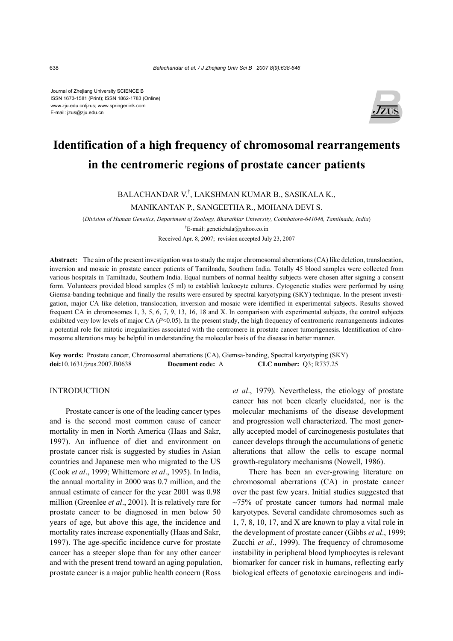Journal of Zhejiang University SCIENCE B ISSN 1673-1581 (Print); ISSN 1862-1783 (Online) www.zju.edu.cn/jzus; www.springerlink.com E-mail: jzus@zju.edu.cn



# **Identification of a high frequency of chromosomal rearrangements in the centromeric regions of prostate cancer patients**

# BALACHANDAR V.† , LAKSHMAN KUMAR B., SASIKALA K., MANIKANTAN P., SANGEETHA R., MOHANA DEVI S.

(*Division of Human Genetics, Department of Zoology, Bharathiar University, Coimbatore-641046, Tamilnadu, India*)

† E-mail: geneticbala@yahoo.co.in

Received Apr. 8, 2007; revision accepted July 23, 2007

**Abstract:** The aim of the present investigation was to study the major chromosomal aberrations (CA) like deletion, translocation, inversion and mosaic in prostate cancer patients of Tamilnadu, Southern India. Totally 45 blood samples were collected from various hospitals in Tamilnadu, Southern India. Equal numbers of normal healthy subjects were chosen after signing a consent form. Volunteers provided blood samples (5 ml) to establish leukocyte cultures. Cytogenetic studies were performed by using Giemsa-banding technique and finally the results were ensured by spectral karyotyping (SKY) technique. In the present investigation, major CA like deletion, translocation, inversion and mosaic were identified in experimental subjects. Results showed frequent CA in chromosomes 1, 3, 5, 6, 7, 9, 13, 16, 18 and X. In comparison with experimental subjects, the control subjects exhibited very low levels of major CA ( $P<0.05$ ). In the present study, the high frequency of centromeric rearrangements indicates a potential role for mitotic irregularities associated with the centromere in prostate cancer tumorigenesis. Identification of chromosome alterations may be helpful in understanding the molecular basis of the disease in better manner.

**Key words:** Prostate cancer, Chromosomal aberrations (CA), Giemsa-banding, Spectral karyotyping (SKY) **doi:**10.1631/jzus.2007.B0638 **Document code:** A **CLC number:** Q3; R737.25

# **INTRODUCTION**

Prostate cancer is one of the leading cancer types and is the second most common cause of cancer mortality in men in North America (Haas and Sakr, 1997). An influence of diet and environment on prostate cancer risk is suggested by studies in Asian countries and Japanese men who migrated to the US (Cook *et al*., 1999; Whittemore *et al*., 1995). In India, the annual mortality in 2000 was 0.7 million, and the annual estimate of cancer for the year 2001 was 0.98 million (Greenlee *et al*., 2001). It is relatively rare for prostate cancer to be diagnosed in men below 50 years of age, but above this age, the incidence and mortality rates increase exponentially (Haas and Sakr, 1997). The age-specific incidence curve for prostate cancer has a steeper slope than for any other cancer and with the present trend toward an aging population, prostate cancer is a major public health concern (Ross

*et al*., 1979). Nevertheless, the etiology of prostate cancer has not been clearly elucidated, nor is the molecular mechanisms of the disease development and progression well characterized. The most generally accepted model of carcinogenesis postulates that cancer develops through the accumulations of genetic alterations that allow the cells to escape normal growth-regulatory mechanisms (Nowell, 1986).

There has been an ever-growing literature on chromosomal aberrations (CA) in prostate cancer over the past few years. Initial studies suggested that  $\sim$ 75% of prostate cancer tumors had normal male karyotypes. Several candidate chromosomes such as 1, 7, 8, 10, 17, and X are known to play a vital role in the development of prostate cancer (Gibbs *et al*., 1999; Zucchi *et al*., 1999). The frequency of chromosome instability in peripheral blood lymphocytes is relevant biomarker for cancer risk in humans, reflecting early biological effects of genotoxic carcinogens and indi-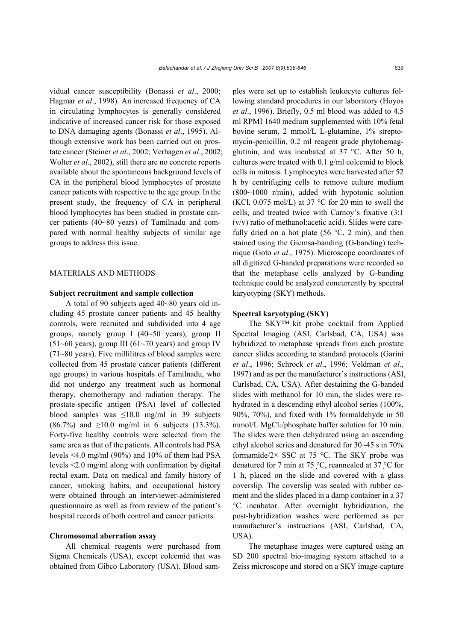vidual cancer susceptibility (Bonassi *et al*., 2000; Hagmar *et al*., 1998). An increased frequency of CA in circulating lymphocytes is generally considered indicative of increased cancer risk for those exposed to DNA damaging agents (Bonassi *et al*., 1995). Although extensive work has been carried out on prostate cancer (Steiner *et al*., 2002; Verhagen *et al*., 2002; Wolter *et al*., 2002), still there are no concrete reports available about the spontaneous background levels of CA in the peripheral blood lymphocytes of prostate cancer patients with respective to the age group. In the present study, the frequency of CA in peripheral blood lymphocytes has been studied in prostate cancer patients (40~80 years) of Tamilnadu and compared with normal healthy subjects of similar age groups to address this issue.

# MATERIALS AND METHODS

#### **Subject recruitment and sample collection**

A total of 90 subjects aged 40~80 years old including 45 prostate cancer patients and 45 healthy controls, were recruited and subdivided into 4 age groups, namely group I (40~50 years), group II  $(51~60$  years), group III  $(61~70)$  years) and group IV (71~80 years). Five millilitres of blood samples were collected from 45 prostate cancer patients (different age groups) in various hospitals of Tamilnadu, who did not undergo any treatment such as hormonal therapy, chemotherapy and radiation therapy. The prostate-specific antigen (PSA) level of collected blood samples was  $\leq 10.0$  mg/ml in 39 subjects  $(86.7\%)$  and  $\geq 10.0$  mg/ml in 6 subjects  $(13.3\%)$ . Forty-five healthy controls were selected from the same area as that of the patients. All controls had PSA levels <4.0 mg/ml (90%) and 10% of them had PSA levels <2.0 mg/ml along with confirmation by digital rectal exam. Data on medical and family history of cancer, smoking habits, and occupational history were obtained through an interviewer-administered questionnaire as well as from review of the patient's hospital records of both control and cancer patients.

# **Chromosomal aberration assay**

All chemical reagents were purchased from Sigma Chemicals (USA), except colcemid that was obtained from Gibco Laboratory (USA). Blood samples were set up to establish leukocyte cultures following standard procedures in our laboratory (Hoyos *et al*., 1996). Briefly, 0.5 ml blood was added to 4.5 ml RPMI 1640 medium supplemented with 10% fetal bovine serum, 2 mmol/L L-glutamine, 1% streptomycin-penicillin, 0.2 ml reagent grade phytohemagglutinin, and was incubated at 37 °C. After 50 h, cultures were treated with 0.1 g/ml colcemid to block cells in mitosis. Lymphocytes were harvested after 52 h by centrifuging cells to remove culture medium (800~1000 r/min), added with hypotonic solution (KCl, 0.075 mol/L) at 37  $\degree$ C for 20 min to swell the cells, and treated twice with Carnoy's fixative (3:1 (v/v) ratio of methanol:acetic acid). Slides were carefully dried on a hot plate (56  $\degree$ C, 2 min), and then stained using the Giemsa-banding (G-banding) technique (Goto *et al*., 1975). Microscope coordinates of all digitized G-banded preparations were recorded so that the metaphase cells analyzed by G-banding technique could be analyzed concurrently by spectral karyotyping (SKY) methods.

#### **Spectral karyotyping (SKY)**

The SKY™ kit probe cocktail from Applied Spectral Imaging (ASI, Carlsbad, CA, USA) was hybridized to metaphase spreads from each prostate cancer slides according to standard protocols (Garini *et al*., 1996; Schrock *et al*., 1996; Veldman *et al*., 1997) and as per the manufacturer's instructions (ASI, Carlsbad, CA, USA). After destaining the G-banded slides with methanol for 10 min, the slides were rehydrated in a descending ethyl alcohol series (100%, 90%, 70%), and fixed with 1% formaldehyde in 50 mmol/L MgCl<sub>2</sub>/phosphate buffer solution for 10 min. The slides were then dehydrated using an ascending ethyl alcohol series and denatured for 30~45 s in 70% formamide/ $2 \times$  SSC at 75 °C. The SKY probe was denatured for 7 min at 75 °C, reannealed at 37 °C for 1 h, placed on the slide and covered with a glass coverslip. The coverslip was sealed with rubber cement and the slides placed in a damp container in a 37 °C incubator. After overnight hybridization, the post-hybridization washes were performed as per manufacturer's instructions (ASI, Carlsbad, CA, USA).

The metaphase images were captured using an SD 200 spectral bio-imaging system attached to a Zeiss microscope and stored on a SKY image-capture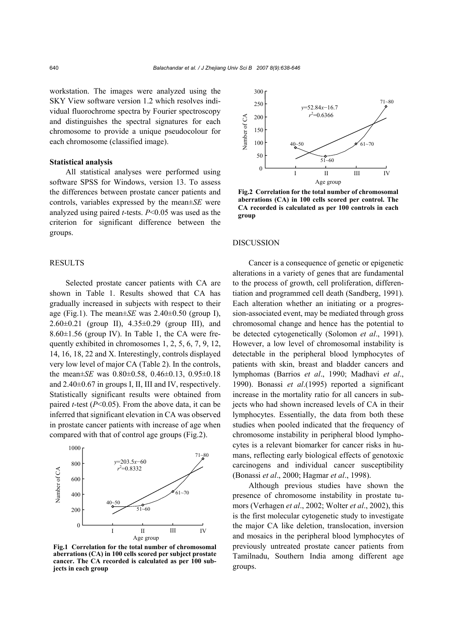workstation. The images were analyzed using the SKY View software version 1.2 which resolves individual fluorochrome spectra by Fourier spectroscopy and distinguishes the spectral signatures for each chromosome to provide a unique pseudocolour for each chromosome (classified image).

# **Statistical analysis**

All statistical analyses were performed using software SPSS for Windows, version 13. To assess the differences between prostate cancer patients and controls, variables expressed by the mean±*SE* were analyzed using paired *t*-tests. *P*<0.05 was used as the criterion for significant difference between the groups.

# RESULTS

Selected prostate cancer patients with CA are shown in Table 1. Results showed that CA has gradually increased in subjects with respect to their age (Fig.1). The mean $\pm$ *SE* was 2.40 $\pm$ 0.50 (group I),  $2.60\pm0.21$  (group II),  $4.35\pm0.29$  (group III), and  $8.60\pm1.56$  (group IV). In Table 1, the CA were frequently exhibited in chromosomes 1, 2, 5, 6, 7, 9, 12, 14, 16, 18, 22 and X. Interestingly, controls displayed very low level of major CA (Table 2). In the controls, the mean±*SE* was 0.80±0.58, 0.46±0.13, 0.95±0.18 and 2.40±0.67 in groups I, II, III and IV, respectively. Statistically significant results were obtained from paired *t*-test (*P*<0.05). From the above data, it can be inferred that significant elevation in CA was observed in prostate cancer patients with increase of age when compared with that of control age groups (Fig.2).



**Fig.1 Correlation for the total number of chromosomal aberrations (CA) in 100 cells scored per subject prostate cancer. The CA recorded is calculated as per 100 subjects in each group** 



**Fig.2 Correlation for the total number of chromosomal aberrations (CA) in 100 cells scored per control. The CA recorded is calculated as per 100 controls in each group** 

## DISCUSSION

Cancer is a consequence of genetic or epigenetic alterations in a variety of genes that are fundamental to the process of growth, cell proliferation, differentiation and programmed cell death (Sandberg, 1991). Each alteration whether an initiating or a progression-associated event, may be mediated through gross chromosomal change and hence has the potential to be detected cytogenetically (Solomon *et al*., 1991). However, a low level of chromosomal instability is detectable in the peripheral blood lymphocytes of patients with skin, breast and bladder cancers and lymphomas (Barrios *et al*., 1990; Madhavi *et al*., 1990). Bonassi *et al*.(1995) reported a significant increase in the mortality ratio for all cancers in subjects who had shown increased levels of CA in their lymphocytes. Essentially, the data from both these studies when pooled indicated that the frequency of chromosome instability in peripheral blood lymphocytes is a relevant biomarker for cancer risks in humans, reflecting early biological effects of genotoxic carcinogens and individual cancer susceptibility (Bonassi *et al*., 2000; Hagmar *et al*., 1998).

Although previous studies have shown the presence of chromosome instability in prostate tumors (Verhagen *et al*., 2002; Wolter *et al*., 2002), this is the first molecular cytogenetic study to investigate the major CA like deletion, translocation, inversion and mosaics in the peripheral blood lymphocytes of previously untreated prostate cancer patients from Tamilnadu, Southern India among different age groups.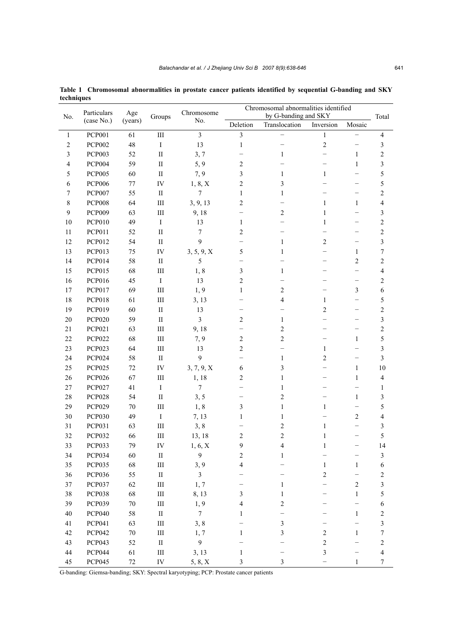| No.            | Particulars<br>(case No.) | Age<br>(years) | Groups                          | Chromosome<br>No.       | Chromosomal abnormalities identified<br>by G-banding and SKY |                          |                          |                          |                         |
|----------------|---------------------------|----------------|---------------------------------|-------------------------|--------------------------------------------------------------|--------------------------|--------------------------|--------------------------|-------------------------|
|                |                           |                |                                 |                         | Deletion                                                     | Translocation            | Inversion                | Mosaic                   | Total                   |
| $\mathbf{1}$   | <b>PCP001</b>             | 61             | $\rm III$                       | $\mathfrak{Z}$          | $\overline{3}$                                               |                          | $\mathbf{1}$             |                          | $\overline{4}$          |
| $\overline{c}$ | <b>PCP002</b>             | 48             | $\rm I$                         | 13                      | $\mathbf{1}$                                                 |                          | $\overline{c}$           | -                        | 3                       |
| $\mathfrak{Z}$ | <b>PCP003</b>             | 52             | $\mathop{\mathrm{II}}\nolimits$ | 3, 7                    |                                                              | $\mathbf{1}$             | $\overline{\phantom{0}}$ | $\mathbf{1}$             | $\sqrt{2}$              |
| $\overline{4}$ | <b>PCP004</b>             | 59             | $\rm II$                        | 5, 9                    | $\sqrt{2}$                                                   |                          | $\overline{\phantom{0}}$ | $\mathbf{1}$             | $\overline{\mathbf{3}}$ |
| 5              | <b>PCP005</b>             | 60             | $\rm II$                        | 7, 9                    | 3                                                            | 1                        | $\mathbf{1}$             |                          | $\sqrt{5}$              |
| 6              | <b>PCP006</b>             | $77 \,$        | ${\rm IV}$                      | 1, 8, X                 | $\sqrt{2}$                                                   | 3                        | $\overline{\phantom{0}}$ | $\overline{\phantom{0}}$ | $\sqrt{5}$              |
| 7              | <b>PCP007</b>             | 55             | $\mathbf{I}$                    | 7                       | 1                                                            | $\mathbf{1}$             | $\overline{\phantom{0}}$ | $\overline{\phantom{0}}$ | $\sqrt{2}$              |
| 8              | <b>PCP008</b>             | 64             | $\rm III$                       | 3, 9, 13                | $\overline{2}$                                               | $\overline{\phantom{0}}$ | $\mathbf{1}$             | $\mathbf{1}$             | $\sqrt{4}$              |
| 9              | <b>PCP009</b>             | 63             | $\rm III$                       | 9,18                    |                                                              | $\sqrt{2}$               | $\mathbf{1}$             |                          | $\mathfrak{Z}$          |
| 10             | <b>PCP010</b>             | 49             | $\rm I$                         | 13                      | $\mathbf{1}$                                                 | —                        | $\mathbf{1}$             | -                        | $\sqrt{2}$              |
| 11             | <b>PCP011</b>             | 52             | $\mathop{\mathrm{II}}\nolimits$ | $\boldsymbol{7}$        | 2                                                            | $\overline{\phantom{0}}$ | $\overline{\phantom{0}}$ |                          | $\sqrt{2}$              |
| 12             | <b>PCP012</b>             | 54             | $\mathop{\mathrm{II}}\nolimits$ | $\mathbf{9}$            |                                                              | $\mathbf{1}$             | $\sqrt{2}$               | $\overline{\phantom{0}}$ | $\overline{\mathbf{3}}$ |
| 13             | <b>PCP013</b>             | 75             | ${\rm IV}$                      | 3, 5, 9, X              | $\sqrt{5}$                                                   | 1                        | $\overline{\phantom{0}}$ | $\mathbf{1}$             | $\boldsymbol{7}$        |
| 14             | <b>PCP014</b>             | 58             | $\rm II$                        | 5                       |                                                              |                          | -                        | 2                        | $\sqrt{2}$              |
| 15             | <b>PCP015</b>             | 68             | $\rm III$                       | 1,8                     | $\mathfrak{Z}$                                               | $\mathbf{1}$             | $\overline{\phantom{0}}$ | $\overline{\phantom{0}}$ | $\sqrt{4}$              |
| 16             | <b>PCP016</b>             | 45             | $\rm I$                         | 13                      | $\sqrt{2}$                                                   |                          |                          | $\overline{\phantom{0}}$ | $\boldsymbol{2}$        |
| $17\,$         | <b>PCP017</b>             | 69             | $\rm III$                       | 1,9                     | 1                                                            | $\overline{c}$           | —                        | 3                        | $\boldsymbol{6}$        |
| 18             | <b>PCP018</b>             | 61             | Ш                               | 3, 13                   |                                                              | $\overline{\mathcal{L}}$ | $\mathbf{1}$             | -                        | $\sqrt{5}$              |
| 19             | <b>PCP019</b>             | 60             | $\mathop{\mathrm{II}}\nolimits$ | 13                      |                                                              | $\overline{\phantom{0}}$ | $\overline{c}$           | -                        | $\sqrt{2}$              |
| $20\,$         | <b>PCP020</b>             | 59             | $\rm II$                        | $\overline{\mathbf{3}}$ | $\overline{2}$                                               | $\mathbf{1}$             |                          |                          | $\mathfrak{Z}$          |
| 21             | <b>PCP021</b>             | 63             | $\rm III$                       | 9,18                    |                                                              | $\overline{\mathbf{c}}$  | $\overline{\phantom{0}}$ |                          | $\sqrt{2}$              |
| 22             | <b>PCP022</b>             | 68             | $\rm III$                       | 7, 9                    | $\overline{2}$                                               | $\overline{c}$           | -                        | $\mathbf{1}$             | $\sqrt{5}$              |
| 23             | <b>PCP023</b>             | 64             | $\rm III$                       | 13                      | $\overline{2}$                                               |                          | $\mathbf{1}$             |                          | $\mathfrak{Z}$          |
| 24             | <b>PCP024</b>             | 58             | $\rm II$                        | 9                       |                                                              | $\mathbf{1}$             | $\overline{c}$           | -                        | $\mathfrak{Z}$          |
| 25             | <b>PCP025</b>             | 72             | ${\rm IV}$                      | 3, 7, 9, X              | 6                                                            | 3                        | $\overline{\phantom{0}}$ | $\mathbf{1}$             | 10                      |
| 26             | <b>PCP026</b>             | 67             | $\rm III$                       | 1,18                    | $\overline{2}$                                               | $\mathbf{1}$             |                          | $\mathbf{1}$             | $\overline{4}$          |
| $27\,$         | <b>PCP027</b>             | 41             | $\rm I$                         | $\boldsymbol{7}$        |                                                              | $\mathbf{1}$             | $\overline{\phantom{0}}$ |                          | 1                       |
| 28             | <b>PCP028</b>             | 54             | $\rm II$                        | 3, 5                    |                                                              | $\overline{\mathbf{c}}$  |                          | $\mathbf{1}$             | 3                       |
| 29             | <b>PCP029</b>             | $70\,$         | $\rm III$                       | 1,8                     | $\mathfrak{Z}$                                               | $\mathbf{1}$             | $\mathbf{1}$             | $\overline{\phantom{0}}$ | $\sqrt{5}$              |
| $30\,$         | <b>PCP030</b>             | 49             | $\bf I$                         | 7, 13                   | 1                                                            | $\mathbf{1}$             |                          | $\overline{c}$           | $\sqrt{4}$              |
| 31             | <b>PCP031</b>             | 63             | $\rm III$                       | 3, 8                    |                                                              | $\overline{\mathbf{c}}$  | $\mathbf{1}$             |                          | 3                       |
| 32             | <b>PCP032</b>             | 66             | $\rm III$                       | 13, 18                  | $\overline{c}$                                               | $\overline{c}$           | $\mathbf{1}$             |                          | 5                       |
| 33             | PCP033                    | 79             | ${\rm IV}$                      | 1, 6, X                 | 9                                                            | 4                        | 1                        |                          | 14                      |
| 34             | <b>PCP034</b>             | 60             | $\rm II$                        | $\mathbf{9}$            | $\sqrt{2}$                                                   | $\,1$                    |                          |                          | $\sqrt{3}$              |
| 35             | <b>PCP035</b>             | 68             | $\rm III$                       | 3, 9                    | 4                                                            |                          | $\mathbf{1}$             | $\mathbf{1}$             | $\boldsymbol{6}$        |
| 36             | <b>PCP036</b>             | 55             | $\rm II$                        | $\mathfrak{Z}$          |                                                              |                          | $\sqrt{2}$               |                          | $\sqrt{2}$              |
| 37             | <b>PCP037</b>             | 62             | $\rm III$                       | 1, 7                    |                                                              | 1                        |                          | $\sqrt{2}$               | $\overline{\mathbf{3}}$ |
| $38\,$         | <b>PCP038</b>             | 68             | $\rm III$                       | 8, 13                   | 3                                                            | 1                        |                          | $\mathbf{1}$             | $\sqrt{5}$              |
| 39             | <b>PCP039</b>             | $70\,$         | $\rm III$                       | 1,9                     | 4                                                            | $\overline{\mathbf{c}}$  |                          |                          | $\sqrt{6}$              |
| $40\,$         | <b>PCP040</b>             | 58             | $\rm II$                        | $\overline{7}$          | 1                                                            |                          |                          | $\mathbf{1}$             | $\sqrt{2}$              |
| 41             | <b>PCP041</b>             | 63             | $\rm III$                       | 3, 8                    |                                                              | 3                        |                          |                          | 3                       |
| $42\,$         | <b>PCP042</b>             | $70\,$         | $\rm III$                       | 1, 7                    | 1                                                            | 3                        | $\sqrt{2}$               | $\mathbf{1}$             | $\boldsymbol{7}$        |
| 43             | <b>PCP043</b>             | 52             | $\rm II$                        | $\overline{9}$          |                                                              |                          | $\overline{c}$           |                          | $\sqrt{2}$              |
| $44\,$         | <b>PCP044</b>             | 61             | $\rm III$                       | 3, 13                   | $\mathbf{1}$                                                 |                          | $\sqrt{3}$               |                          | $\overline{4}$          |
| 45             | <b>PCP045</b>             | $72\,$         | ${\rm IV}$                      | 5, 8, X                 | $\mathfrak{Z}$                                               | 3                        |                          | $\mathbf{1}$             | $\boldsymbol{7}$        |

**Table 1 Chromosomal abnormalities in prostate cancer patients identified by sequential G-banding and SKY techniques**

G-banding: Giemsa-banding; SKY: Spectral karyotyping; PCP: Prostate cancer patients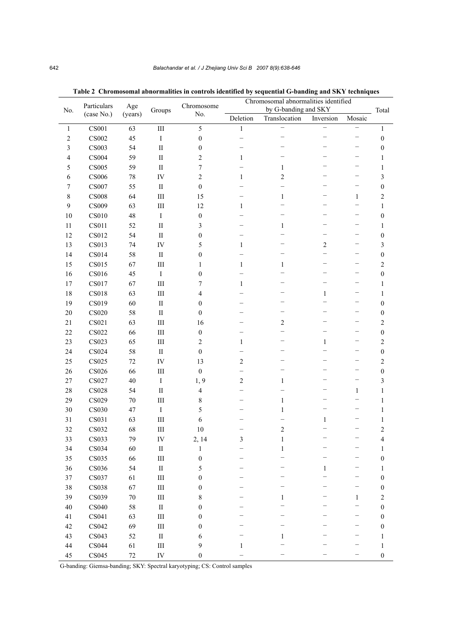| No.            | Particulars<br>(case No.) | Age<br>(years) | Groups     | Chromosome<br>No. | radic 2  Chromosomal adnoi mantics in controls luchtificu by sequential G-danuing anu Six r techniques<br>Chromosomal abnormalities identified<br>by G-banding and SKY |                          |                          |                          | Total            |
|----------------|---------------------------|----------------|------------|-------------------|------------------------------------------------------------------------------------------------------------------------------------------------------------------------|--------------------------|--------------------------|--------------------------|------------------|
|                |                           |                |            |                   | Deletion                                                                                                                                                               | Translocation            | Inversion                | Mosaic                   |                  |
| $\mathbf{1}$   | CS001                     | 63             | $\rm III$  | 5                 | $\mathbf{1}$                                                                                                                                                           | $\overline{\phantom{0}}$ | $\overline{\phantom{0}}$ | $\overline{\phantom{0}}$ | $\mathbf{1}$     |
| $\sqrt{2}$     | $\mathbf{CS}002$          | 45             | $\rm I$    | $\boldsymbol{0}$  |                                                                                                                                                                        |                          | $\qquad \qquad -$        | —                        | $\boldsymbol{0}$ |
| $\mathfrak{Z}$ | <b>CS003</b>              | 54             | $\rm II$   | $\boldsymbol{0}$  |                                                                                                                                                                        |                          |                          | -                        | $\boldsymbol{0}$ |
| $\overline{4}$ | <b>CS004</b>              | 59             | $\rm II$   | $\overline{2}$    | $\mathbf{1}$                                                                                                                                                           |                          | $\overline{\phantom{0}}$ | -                        | $\mathbf{1}$     |
| 5              | CS005                     | 59             | $\rm II$   | $\boldsymbol{7}$  |                                                                                                                                                                        | $\mathbf{1}$             |                          | -                        | $\mathbf{1}$     |
| 6              | <b>CS006</b>              | 78             | IV         | $\overline{2}$    | $\mathbf{1}$                                                                                                                                                           | $\overline{c}$           |                          | -                        | 3                |
| $\tau$         | <b>CS007</b>              | 55             | $\rm II$   | $\boldsymbol{0}$  |                                                                                                                                                                        | $\overline{\phantom{0}}$ |                          | -                        | $\boldsymbol{0}$ |
| $8\,$          | <b>CS008</b>              | 64             | $\rm III$  | 15                |                                                                                                                                                                        | $\mathbf{1}$             |                          | 1                        | $\overline{c}$   |
| $\overline{9}$ | <b>CS009</b>              | 63             | $\rm III$  | 12                | $\mathbf{1}$                                                                                                                                                           | -                        |                          |                          | $\mathbf{1}$     |
| $10\,$         | CS010                     | 48             | $\rm I$    | $\boldsymbol{0}$  |                                                                                                                                                                        | -                        |                          | -                        | $\boldsymbol{0}$ |
| 11             | CS011                     | 52             | $\rm II$   | $\mathfrak{Z}$    |                                                                                                                                                                        | $\mathbf{1}$             |                          |                          | $\mathbf{1}$     |
| 12             | <b>CS012</b>              | 54             | $\rm II$   | $\boldsymbol{0}$  |                                                                                                                                                                        | $\overline{\phantom{0}}$ | $\overline{\phantom{m}}$ | -                        | $\boldsymbol{0}$ |
| 13             | CS013                     | 74             | IV         | 5                 | $\mathbf{1}$                                                                                                                                                           |                          | $\overline{2}$           |                          | 3                |
| 14             | <b>CS014</b>              | 58             | $\rm II$   | $\boldsymbol{0}$  |                                                                                                                                                                        |                          | $\qquad \qquad -$        |                          | $\boldsymbol{0}$ |
| 15             | CS015                     | 67             | $\rm III$  | $\mathbf{1}$      | $\mathbf{1}$                                                                                                                                                           | $\mathbf{1}$             |                          |                          | $\overline{c}$   |
| 16             | CS016                     | 45             | $\rm I$    | $\boldsymbol{0}$  |                                                                                                                                                                        | -                        |                          |                          | $\boldsymbol{0}$ |
| 17             | CS017                     | 67             | $\rm III$  | $\tau$            | $\mathbf{1}$                                                                                                                                                           | <u>—</u>                 |                          | -                        | $\mathbf{1}$     |
| 18             | <b>CS018</b>              | 63             | $\rm III$  | $\overline{4}$    |                                                                                                                                                                        | -                        | 1                        | -                        | $\mathbf{1}$     |
| 19             | CS019                     | 60             | $\rm II$   | $\boldsymbol{0}$  |                                                                                                                                                                        | -                        |                          | -                        | $\boldsymbol{0}$ |
| $20\,$         | <b>CS020</b>              | 58             | $\rm II$   | $\mathbf{0}$      |                                                                                                                                                                        | -                        | $\overline{\phantom{0}}$ | -                        | $\boldsymbol{0}$ |
| 21             | CS021                     | 63             | $\rm III$  | 16                |                                                                                                                                                                        | $\mathbf{2}$             | $\overline{\phantom{0}}$ | -                        | 2                |
| $22\,$         | $\rm CS022$               | 66             | $\rm III$  | $\boldsymbol{0}$  |                                                                                                                                                                        | $\overline{\phantom{0}}$ |                          |                          | $\boldsymbol{0}$ |
| 23             | CS023                     | 65             | $\rm III$  | $\overline{c}$    | $\mathbf{1}$                                                                                                                                                           | -                        | $\mathbf{1}$             | -                        | $\overline{c}$   |
| 24             | <b>CS024</b>              | 58             | $\rm II$   | $\boldsymbol{0}$  |                                                                                                                                                                        | ۰                        |                          |                          | $\boldsymbol{0}$ |
| 25             | CS025                     | 72             | ${\rm IV}$ | 13                | $\overline{2}$                                                                                                                                                         |                          |                          | -                        | $\overline{c}$   |
| 26             | <b>CS026</b>              | 66             | $\rm III$  | $\boldsymbol{0}$  |                                                                                                                                                                        |                          |                          | -                        | $\boldsymbol{0}$ |
| $27\,$         | CS027                     | 40             | $\rm I$    | 1, 9              | $\overline{c}$                                                                                                                                                         | $\mathbf{1}$             |                          | -                        | 3                |
| $28\,$         | <b>CS028</b>              | 54             | $\rm II$   | $\overline{4}$    |                                                                                                                                                                        | $\overline{\phantom{0}}$ | $\overline{\phantom{0}}$ | $\mathbf{1}$             | $\mathbf{1}$     |
| 29             | CS029                     | 70             | $\rm III$  | $8\,$             |                                                                                                                                                                        | $\mathbf{1}$             | $\overline{\phantom{0}}$ | $\overline{\phantom{0}}$ | $\mathbf{1}$     |
| $30\,$         | <b>CS030</b>              | 47             | $\rm I$    | 5                 |                                                                                                                                                                        | 1                        |                          |                          | $\mathbf{1}$     |
| 31             | CS031                     | 63             | $\rm III$  | 6                 |                                                                                                                                                                        |                          | $\mathbf{1}$             |                          | $\mathbf{1}$     |
| 32             | <b>CS032</b>              | 68             | Ш          | 10                |                                                                                                                                                                        | $\overline{c}$           |                          | -                        | $\overline{c}$   |
| 33             | CS033                     | 79             | ${\rm IV}$ | 2, 14             | $\mathfrak{Z}$                                                                                                                                                         | $\,1\,$                  | $\overline{\phantom{m}}$ |                          | 4                |
| 34             | CS034                     | 60             | $\rm II$   | $\,1$             |                                                                                                                                                                        | $\mathbf{1}$             |                          |                          | 1                |
| 35             | CS035                     | 66             | $\rm III$  | $\boldsymbol{0}$  |                                                                                                                                                                        |                          |                          |                          | $\boldsymbol{0}$ |
| 36             | CS036                     | 54             | $\rm II$   | 5                 |                                                                                                                                                                        |                          | $\mathbf{1}$             |                          | $\mathbf{1}$     |
| 37             | CS037                     | 61             | $\rm III$  | $\boldsymbol{0}$  |                                                                                                                                                                        |                          |                          |                          | $\boldsymbol{0}$ |
| $38\,$         | <b>CS038</b>              | 67             | $\rm III$  | $\boldsymbol{0}$  |                                                                                                                                                                        |                          |                          |                          | $\boldsymbol{0}$ |
| 39             | CS039                     | $70\,$         | $\rm III$  | 8                 |                                                                                                                                                                        | 1                        |                          | $\mathbf{1}$             | $\overline{c}$   |
| $40\,$         | CS040                     | 58             | $\rm II$   | $\boldsymbol{0}$  |                                                                                                                                                                        |                          |                          |                          | $\boldsymbol{0}$ |
| 41             | CS041                     | 63             | $\rm III$  | $\boldsymbol{0}$  |                                                                                                                                                                        |                          |                          |                          | $\boldsymbol{0}$ |
| $42\,$         | CS042                     | 69             | $\rm III$  | $\boldsymbol{0}$  |                                                                                                                                                                        |                          |                          |                          | $\boldsymbol{0}$ |
| 43             | CS043                     | 52             | $\rm II$   | 6                 |                                                                                                                                                                        | 1                        |                          |                          | $\mathbf{1}$     |
| $44\,$         | CS044                     | 61             | $\rm III$  | 9                 | $\mathbf{1}$                                                                                                                                                           |                          |                          |                          | $\mathbf{1}$     |
| 45             | $\rm CS045$               | $72\,$         | ${\rm IV}$ | $\boldsymbol{0}$  |                                                                                                                                                                        |                          |                          |                          | $\boldsymbol{0}$ |

**Table 2 Chromosomal abnormalities in controls identified by sequential G-banding and SKY techniques**

G-banding: Giemsa-banding; SKY: Spectral karyotyping; CS: Control samples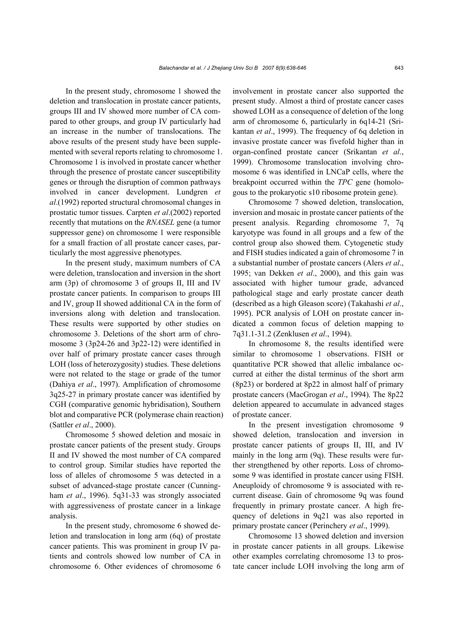In the present study, chromosome 1 showed the deletion and translocation in prostate cancer patients, groups III and IV showed more number of CA compared to other groups, and group IV particularly had an increase in the number of translocations. The above results of the present study have been supplemented with several reports relating to chromosome 1. Chromosome 1 is involved in prostate cancer whether through the presence of prostate cancer susceptibility genes or through the disruption of common pathways involved in cancer development. Lundgren *et al*.(1992) reported structural chromosomal changes in prostatic tumor tissues. Carpten *et al*.(2002) reported recently that mutations on the *RNASEL* gene (a tumor suppressor gene) on chromosome 1 were responsible for a small fraction of all prostate cancer cases, particularly the most aggressive phenotypes.

In the present study, maximum numbers of CA were deletion, translocation and inversion in the short arm (3p) of chromosome 3 of groups II, III and IV prostate cancer patients. In comparison to groups III and IV, group II showed additional CA in the form of inversions along with deletion and translocation. These results were supported by other studies on chromosome 3. Deletions of the short arm of chromosome 3 (3p24-26 and 3p22-12) were identified in over half of primary prostate cancer cases through LOH (loss of heterozygosity) studies. These deletions were not related to the stage or grade of the tumor (Dahiya *et al*., 1997). Amplification of chromosome 3q25-27 in primary prostate cancer was identified by CGH (comparative genomic hybridisation), Southern blot and comparative PCR (polymerase chain reaction) (Sattler *et al*., 2000).

Chromosome 5 showed deletion and mosaic in prostate cancer patients of the present study. Groups II and IV showed the most number of CA compared to control group. Similar studies have reported the loss of alleles of chromosome 5 was detected in a subset of advanced-stage prostate cancer (Cunningham *et al*., 1996). 5q31-33 was strongly associated with aggressiveness of prostate cancer in a linkage analysis.

In the present study, chromosome 6 showed deletion and translocation in long arm (6q) of prostate cancer patients. This was prominent in group IV patients and controls showed low number of CA in chromosome 6. Other evidences of chromosome 6

involvement in prostate cancer also supported the present study. Almost a third of prostate cancer cases showed LOH as a consequence of deletion of the long arm of chromosome 6, particularly in 6q14-21 (Srikantan *et al*., 1999). The frequency of 6q deletion in invasive prostate cancer was fivefold higher than in organ-confined prostate cancer (Srikantan *et al*., 1999). Chromosome translocation involving chromosome 6 was identified in LNCaP cells, where the breakpoint occurred within the *TPC* gene (homologous to the prokaryotic s10 ribosome protein gene).

Chromosome 7 showed deletion, translocation, inversion and mosaic in prostate cancer patients of the present analysis. Regarding chromosome 7, 7q karyotype was found in all groups and a few of the control group also showed them. Cytogenetic study and FISH studies indicated a gain of chromosome 7 in a substantial number of prostate cancers (Alers *et al*., 1995; van Dekken *et al*., 2000), and this gain was associated with higher tumour grade, advanced pathological stage and early prostate cancer death (described as a high Gleason score) (Takahashi *et al*., 1995). PCR analysis of LOH on prostate cancer indicated a common focus of deletion mapping to 7q31.1-31.2 (Zenklusen *et al*., 1994).

In chromosome 8, the results identified were similar to chromosome 1 observations. FISH or quantitative PCR showed that allelic imbalance occurred at either the distal terminus of the short arm (8p23) or bordered at 8p22 in almost half of primary prostate cancers (MacGrogan *et al*., 1994). The 8p22 deletion appeared to accumulate in advanced stages of prostate cancer.

In the present investigation chromosome 9 showed deletion, translocation and inversion in prostate cancer patients of groups II, III, and IV mainly in the long arm (9q). These results were further strengthened by other reports. Loss of chromosome 9 was identified in prostate cancer using FISH. Aneuploidy of chromosome 9 is associated with recurrent disease. Gain of chromosome 9q was found frequently in primary prostate cancer. A high frequency of deletions in 9q21 was also reported in primary prostate cancer (Perinchery *et al*., 1999).

Chromosome 13 showed deletion and inversion in prostate cancer patients in all groups. Likewise other examples correlating chromosome 13 to prostate cancer include LOH involving the long arm of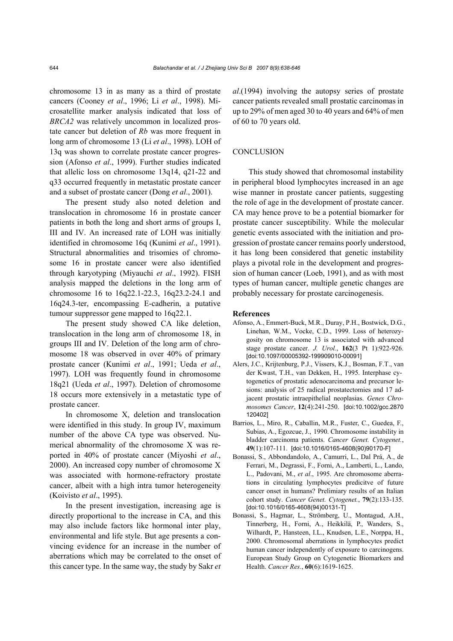chromosome 13 in as many as a third of prostate cancers (Cooney *et al*., 1996; Li *et al*., 1998). Microsatellite marker analysis indicated that loss of *BRCA2* was relatively uncommon in localized prostate cancer but deletion of *Rb* was more frequent in long arm of chromosome 13 (Li *et al*., 1998). LOH of 13q was shown to correlate prostate cancer progression (Afonso *et al*., 1999). Further studies indicated that allelic loss on chromosome 13q14, q21-22 and q33 occurred frequently in metastatic prostate cancer and a subset of prostate cancer (Dong *et al*., 2001).

The present study also noted deletion and translocation in chromosome 16 in prostate cancer patients in both the long and short arms of groups I, III and IV. An increased rate of LOH was initially identified in chromosome 16q (Kunimi *et al*., 1991). Structural abnormalities and trisomies of chromosome 16 in prostate cancer were also identified through karyotyping (Miyauchi *et al*., 1992). FISH analysis mapped the deletions in the long arm of chromosome 16 to 16q22.1-22.3, 16q23.2-24.1 and 16q24.3-ter, encompassing E-cadherin, a putative tumour suppressor gene mapped to 16q22.1.

The present study showed CA like deletion, translocation in the long arm of chromosome 18, in groups III and IV. Deletion of the long arm of chromosome 18 was observed in over 40% of primary prostate cancer (Kunimi *et al*., 1991; Ueda *et al*., 1997). LOH was frequently found in chromosome 18q21 (Ueda *et al*., 1997). Deletion of chromosome 18 occurs more extensively in a metastatic type of prostate cancer.

In chromosome X, deletion and translocation were identified in this study. In group IV, maximum number of the above CA type was observed. Numerical abnormality of the chromosome X was reported in 40% of prostate cancer (Miyoshi *et al*., 2000). An increased copy number of chromosome X was associated with hormone-refractory prostate cancer, albeit with a high intra tumor heterogeneity (Koivisto *et al*., 1995).

In the present investigation, increasing age is directly proportional to the increase in CA, and this may also include factors like hormonal inter play, environmental and life style. But age presents a convincing evidence for an increase in the number of aberrations which may be correlated to the onset of this cancer type. In the same way, the study by Sakr *et*  *al*.(1994) involving the autopsy series of prostate cancer patients revealed small prostatic carcinomas in up to 29% of men aged 30 to 40 years and 64% of men of 60 to 70 years old.

# **CONCLUSION**

This study showed that chromosomal instability in peripheral blood lymphocytes increased in an age wise manner in prostate cancer patients, suggesting the role of age in the development of prostate cancer. CA may hence prove to be a potential biomarker for prostate cancer susceptibility. While the molecular genetic events associated with the initiation and progression of prostate cancer remains poorly understood, it has long been considered that genetic instability plays a pivotal role in the development and progression of human cancer (Loeb, 1991), and as with most types of human cancer, multiple genetic changes are probably necessary for prostate carcinogenesis.

#### **References**

- Afonso, A., Emmert-Buck, M.R., Duray, P.H., Bostwick, D.G., Linehan, W.M., Vocke, C.D., 1999. Loss of heterozygosity on chromosome 13 is associated with advanced stage prostate cancer. *J. Urol.*, **162**(3 Pt 1):922-926. [doi:10.1097/00005392-199909010-00091]
- Alers, J.C., Krijtenburg, P.J., Vissers, K.J., Bosman, F.T., van der Kwast, T.H., van Dekken, H., 1995. Interphase cytogenetics of prostatic adenocarcinoma and precursor lesions: analysis of 25 radical prostatectomies and 17 adjacent prostatic intraepithelial neoplasias. *Genes Chromosomes Cancer*, **12**(4):241-250. [doi:10.1002/gcc.2870 120402]
- Barrios, L., Miro, R., Caballin, M.R., Fuster, C., Guedea, F., Subias, A., Egozcue, J., 1990. Chromosome instability in bladder carcinoma patients. *Cancer Genet. Cytogenet.*, **49**(1):107-111. [doi:10.1016/0165-4608(90)90170-F]
- Bonassi, S., Abbondandolo, A., Camurri, L., Dal Prá, A., de Ferrari, M., Degrassi, F., Forni, A., Lamberti, L., Lando, L., Padovani, M., *et al*., 1995. Are chromosome aberrations in circulating lymphocytes predicitve of future cancer onset in humans? Prelimiary results of an Italian cohort study. *Cancer Genet. Cytogenet.*, **79**(2):133-135. [doi:10.1016/0165-4608(94)00131-T]
- Bonassi, S., Hagmar, L., Strömberg, U., Montagud, A.H., Tinnerberg, H., Forni, A., Heikkilä, P., Wanders, S., Wilhardt, P., Hansteen, I.L., Knudsen, L.E., Norppa, H., 2000. Chromosomal aberrations in lymphocytes predict human cancer independently of exposure to carcinogens. European Study Group on Cytogenetic Biomarkers and Health. *Cancer Res.*, **60**(6):1619-1625.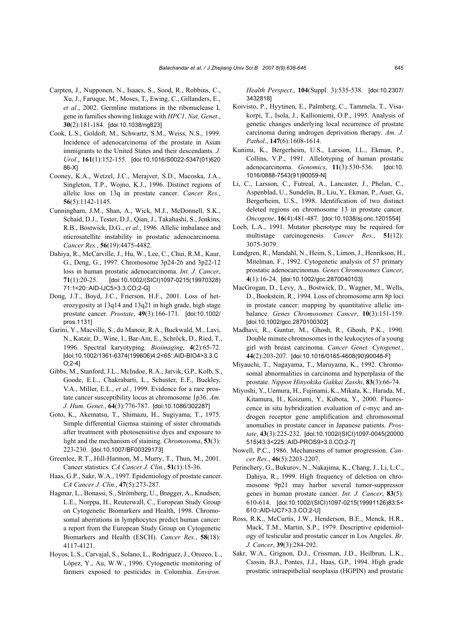- Carpten, J., Nupponen, N., Isaacs, S., Sood, R., Robbins, C., Xu, J., Faruque, M., Moses, T., Ewing, C., Gillanders, E., *et al*., 2002. Germline mutations in the ribonuclease L gene in families showing linkage with *HPC1*. *Nat. Genet*., **30**(2):181-184. [doi:10.1038/ng823]
- Cook, L.S., Goldoft, M., Schwartz, S.M., Weiss, N.S., 1999. Incidence of adenocarcinoma of the prostate in Asian immigrants to the United States and their descendants. *J. Urol*., **161**(1):152-155. [doi:10.1016/S0022-5347(01)620 86-X]
- Cooney, K.A., Wetzel, J.C., Merajver, S.D., Macoska, J.A., Singleton, T.P., Wojno, K.J., 1996. Distinct regions of allelic loss on 13q in prostate cancer. *Cancer Res.*, **56**(5):1142-1145.
- Cunningham, J.M., Shan, A., Wick, M.J., McDonnell, S.K., Schaid, D.J., Tester, D.J., Qian, J., Takahashi, S., Jenkins, R.B., Bostwick, D.G., *et al*., 1996. Allelic imbalance and microsatellite instability in prostatic adenocarcinoma. *Cancer Res.*, **56**(19):4475-4482.
- Dahiya, R., McCarville, J., Hu, W., Lee, C., Chui, R.M., Kaur, G., Deng, G., 1997. Chromosome 3p24-26 and 3p22-12 loss in human prostatic adenocarcinoma. *Int. J. Cancer*, **71**(1):20-25. [doi:10.1002/(SICI)1097-0215(19970328) 71:1<20::AID-IJC5>3.3.CO;2-G]
- Dong, J.T., Boyd, J.C., Frierson, H.F., 2001. Loss of heterozygosity at 13q14 and 13q21 in high grade, high stage prostate cancer. *Prostate*, **49**(3):166-171. [doi:10.1002/ pros.1131]
- Garini, Y., Macville, S., du Manoir, R.A., Buckwald, M., Lavi, N., Katzir, D., Wine, I., Bar-Am, E., Schröck, D., Ried, T., 1996. Spectral karyotyping. *Bioimaging*, **4**(2):65-72. [doi:10.1002/1361-6374(199606)4:2<65::AID-BIO4>3.3.C O;2-4]
- Gibbs, M., Stanford, J.L., McIndoe, R.A., Jarvik, G.P., Kolb, S., Goode, E.L., Chakrabarti, L., Schuster, E.F., Buckley, V.A., Miller, E.L., *et al*., 1999. Evidence for a rare prostate cancer susceptibility locus at chromosome 1p36. *Am. J. Hum. Genet*., **64**(3):776-787. [doi:10.1086/302287]
- Goto, K., Akematsu, T., Shimazu, H., Sugiyama, T., 1975. Simple differential Giemsa staining of sister chromatids after treatment with photosensitive dyes and exposure to light and the mechanism of staining. *Chromosoma*, **53**(3): 223-230. [doi:10.1007/BF00329173]
- Greenlee, R.T., Hill-Harmon, M., Murry, T., Thun, M., 2001. Cancer statistics. *CA Cancer J. Clin.*, **51**(1):15-36.
- Haas, G.P., Sakr, W.A., 1997. Epidemiology of prostate cancer. *CA Cancer J. Clin.*, **47**(5):273-287.
- Hagmar, L., Bonassi, S., Strömberg, U., Brøgger, A., Knudsen, L.E., Norppa, H., Reuterwall, C., European Study Group on Cytogenetic Biomarkers and Health, 1998. Chromosomal aberrations in lymphocytes predict human cancer: a report from the European Study Group on Cytogenetic Biomarkers and Health (ESCH). *Cancer Res.*, **58**(18): 4117-4121.
- Hoyos, L.S., Carvajal, S., Solano, L., Rodriguez, J., Orozco, L., López, Y., Au, W.W., 1996. Cytogenetic monitoring of farmers exposed to pesticides in Colombia. *Environ.*

*Health Perspect*., **104**(Suppl. 3):535-538. [doi:10.2307/ 3432818]

- Koivisto, P., Hyytinen, E., Palmberg, C., Tammela, T., Visakorpi, T., Isola, J., Kallioniemi, O.P., 1995. Analysis of genetic changes underlying local recurrence of prostate carcinoma during androgen deprivation therapy. *Am. J. Pathol*., **147**(6):1608-1614.
- Kunimi, K., Bergerheim, U.S., Larsson, I.L., Ekman, P., Collins, V.P., 1991. Allelotyping of human prostatic adenocarcinoma. *Genomics*, **11**(3):530-536. [doi:10. 1016/0888-7543(91)90059-N]
- Li, C., Larsson, C., Futreal, A., Lancaster, J., Phelan, C., Aspenblad, U., Sundelin, B., Liu, Y., Ekman, P., Auer, G., Bergerheim, U.S., 1998. Identification of two distinct deleted regions on chromosome 13 in prostate cancer. *Oncogene*, **16**(4):481-487. [doi:10.1038/sj.onc.1201554]
- Loeb, L.A., 1991. Mutator phenotype may be required for multistage carcinogenesis. *Cancer Res.*, **51**(12): 3075-3079.
- Lundgren, R., Mandahl, N., Heim, S., Limon, J., Henrikson, H., Mitelman, F., 1992. Cytogenetic analysis of 57 primary prostatic adenocarcinomas. *Genes Chromosomes Cancer*, **4**(1):16-24. [doi:10.1002/gcc.2870040103]
- MacGrogan, D., Levy, A., Bostwick, D., Wagner, M., Wells, D., Bookstein, R., 1994. Loss of chromosome arm 8p loci in prostate cancer: mapping by quantitative allelic imbalance. *Genes Chromosomes Cancer*, **10**(3):151-159. [doi:10.1002/gcc.2870100302]
- Madhavi, R., Guntur, M., Ghosh, R., Ghosh, P.K., 1990. Double minute chromosomes in the leukocytes of a young girl with breast carcinoma. *Cancer Genet. Cytogenet.*, **44**(2):203-207. [doi:10.1016/0165-4608(90)90048-F]
- Miyauchi, T., Nagayama, T., Maruyama, K., 1992. Chromosomal abnormalities in carcinoma and hyperplasia of the prostate. *Nippon Hinyokika Gakkai Zasshi*, **83**(3):66-74.
- Miyoshi, Y., Uemura, H., Fujinami, K., Mikata, K., Harada, M., Kitamura, H., Koizumi, Y., Kubota, Y., 2000. Fluorescence in situ hybridization evaluation of c-myc and androgen receptor gene amplification and chromosomal anomalies in prostate cancer in Japanese patients. *Prostate*, **43**(3):225-232. [doi:10.1002/(SICI)1097-0045(20000 515)43:3<225::AID-PROS9>3.0.CO;2-7]
- Nowell, P.C., 1986. Mechanisms of tumor progression. *Cancer Res.*, **46**(5):2203-2207.
- Perinchery, G., Bukurov, N., Nakajima, K., Chang, J., Li, L.C., Dahiya, R., 1999. High frequency of deletion on chromosome 9p21 may harbor several tumor-suppressor genes in human prostate cancer. *Int. J. Cancer*, **83**(5): 610-614. [doi:10.1002/(SICI)1097-0215(19991126)83:5< 610::AID-IJC7>3.3.CO;2-U]
- Ross, R.K., McCurtis, J.W., Henderson, B.E., Menck, H.R., Mack, T.M., Martin, S.P., 1979. Descriptive epidemiology of testicular and prostatic cancer in Los Angeles. *Br. J. Cancer*, **39**(3):284-292.
- Sakr, W.A., Grignon, D.J., Crissman, J.D., Heilbrun, L.K., Cassin, B.J., Pontes, J.J., Haas, G.P., 1994. High grade prostatic intraepithelial neoplasia (HGPIN) and prostatic